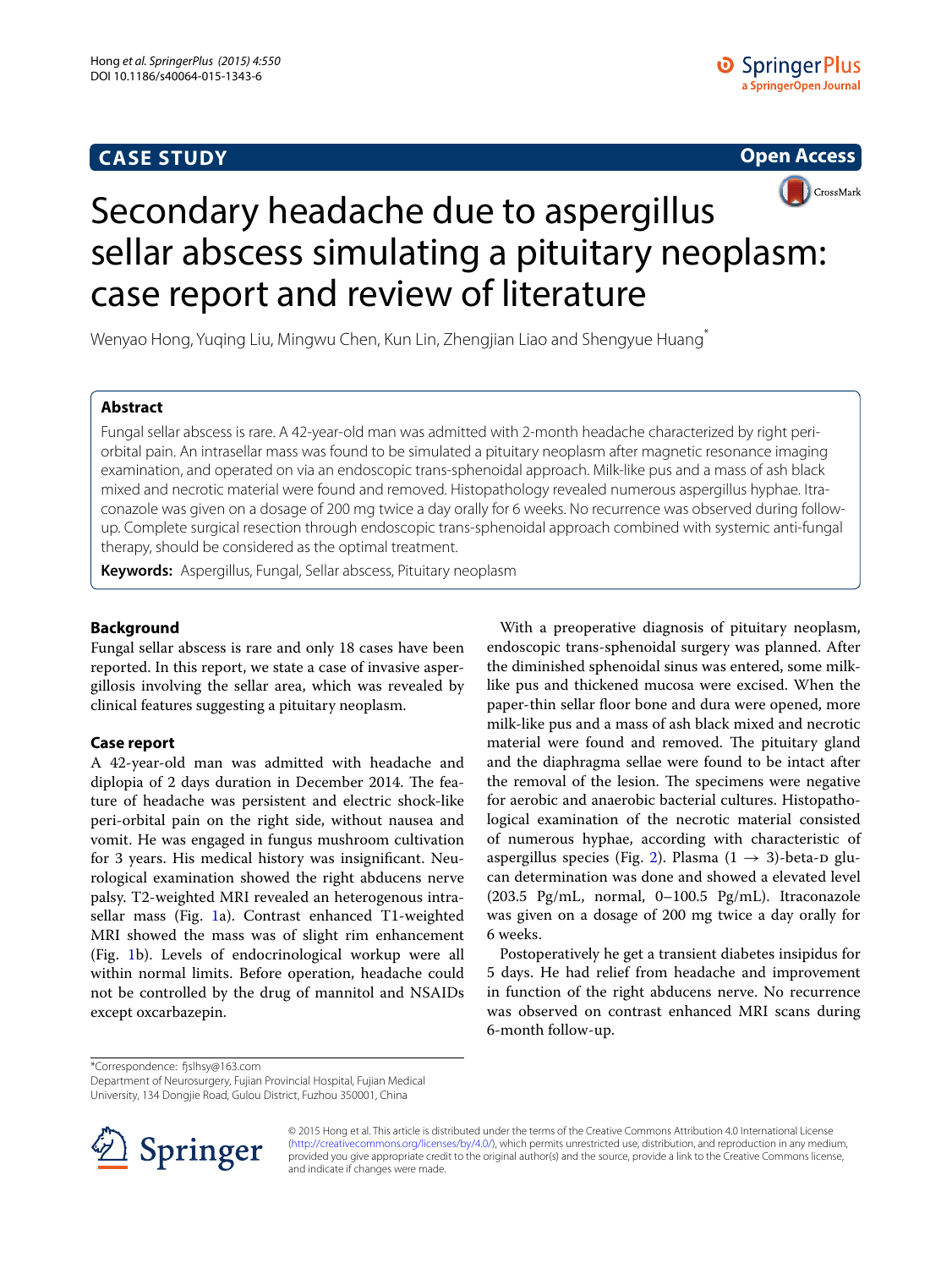## **CASE STUDY**





# Secondary headache due to aspergillus sellar abscess simulating a pituitary neoplasm: case report and review of literature

Wenyao Hong, Yuqing Liu, Mingwu Chen, Kun Lin, Zhengjian Liao and Shengyue Huang\*

## **Abstract**

Fungal sellar abscess is rare. A 42-year-old man was admitted with 2-month headache characterized by right periorbital pain. An intrasellar mass was found to be simulated a pituitary neoplasm after magnetic resonance imaging examination, and operated on via an endoscopic trans-sphenoidal approach. Milk-like pus and a mass of ash black mixed and necrotic material were found and removed. Histopathology revealed numerous aspergillus hyphae. Itraconazole was given on a dosage of 200 mg twice a day orally for 6 weeks. No recurrence was observed during followup. Complete surgical resection through endoscopic trans-sphenoidal approach combined with systemic anti-fungal therapy, should be considered as the optimal treatment.

**Keywords:** Aspergillus, Fungal, Sellar abscess, Pituitary neoplasm

## **Background**

Fungal sellar abscess is rare and only 18 cases have been reported. In this report, we state a case of invasive aspergillosis involving the sellar area, which was revealed by clinical features suggesting a pituitary neoplasm.

## **Case report**

A 42-year-old man was admitted with headache and diplopia of 2 days duration in December 2014. The feature of headache was persistent and electric shock-like peri-orbital pain on the right side, without nausea and vomit. He was engaged in fungus mushroom cultivation for 3 years. His medical history was insignificant. Neurological examination showed the right abducens nerve palsy. T2-weighted MRI revealed an heterogenous intrasellar mass (Fig. [1](#page-1-0)a). Contrast enhanced T1-weighted MRI showed the mass was of slight rim enhancement (Fig. [1b](#page-1-0)). Levels of endocrinological workup were all within normal limits. Before operation, headache could not be controlled by the drug of mannitol and NSAIDs except oxcarbazepin.

With a preoperative diagnosis of pituitary neoplasm, endoscopic trans-sphenoidal surgery was planned. After the diminished sphenoidal sinus was entered, some milklike pus and thickened mucosa were excised. When the paper-thin sellar floor bone and dura were opened, more milk-like pus and a mass of ash black mixed and necrotic material were found and removed. The pituitary gland and the diaphragma sellae were found to be intact after the removal of the lesion. The specimens were negative for aerobic and anaerobic bacterial cultures. Histopathological examination of the necrotic material consisted of numerous hyphae, according with characteristic of aspergillus species (Fig. [2\)](#page-1-1). Plasma  $(1 \rightarrow 3)$ -beta-D glucan determination was done and showed a elevated level (203.5 Pg/mL, normal, 0–100.5 Pg/mL). Itraconazole was given on a dosage of 200 mg twice a day orally for 6 weeks.

Postoperatively he get a transient diabetes insipidus for 5 days. He had relief from headache and improvement in function of the right abducens nerve. No recurrence was observed on contrast enhanced MRI scans during 6-month follow-up.

\*Correspondence: fjslhsy@163.com

Department of Neurosurgery, Fujian Provincial Hospital, Fujian Medical University, 134 Dongjie Road, Gulou District, Fuzhou 350001, China



© 2015 Hong et al. This article is distributed under the terms of the Creative Commons Attribution 4.0 International License [\(http://creativecommons.org/licenses/by/4.0/\)](http://creativecommons.org/licenses/by/4.0/), which permits unrestricted use, distribution, and reproduction in any medium, provided you give appropriate credit to the original author(s) and the source, provide a link to the Creative Commons license, and indicate if changes were made.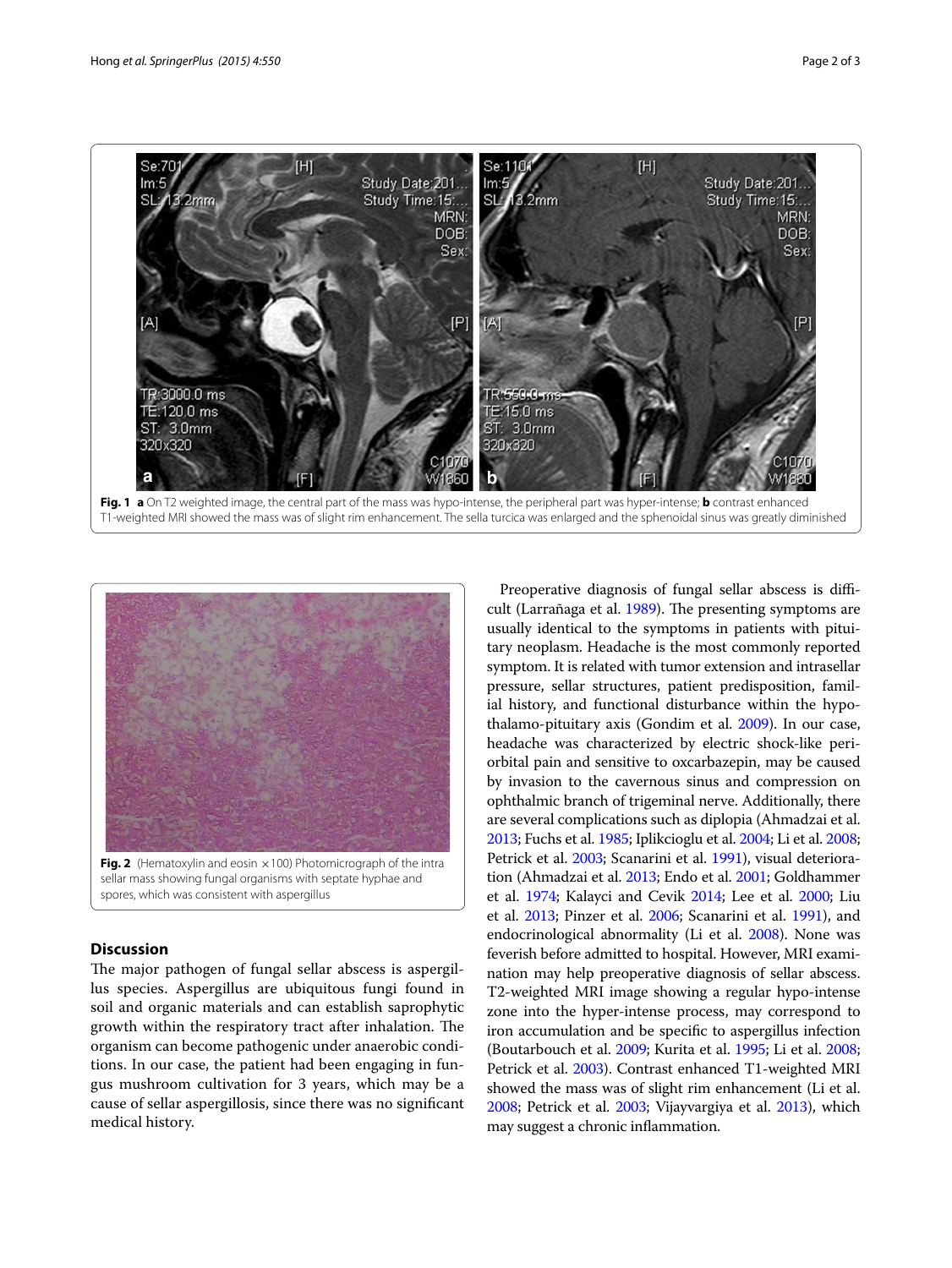

<span id="page-1-0"></span>



<span id="page-1-1"></span>sellar mass showing fungal organisms with septate hyphae and spores, which was consistent with aspergillus

## **Discussion**

The major pathogen of fungal sellar abscess is aspergillus species. Aspergillus are ubiquitous fungi found in soil and organic materials and can establish saprophytic growth within the respiratory tract after inhalation. The organism can become pathogenic under anaerobic conditions. In our case, the patient had been engaging in fungus mushroom cultivation for 3 years, which may be a cause of sellar aspergillosis, since there was no significant medical history.

Preoperative diagnosis of fungal sellar abscess is difficult (Larrañaga et al. [1989\)](#page-2-0). The presenting symptoms are usually identical to the symptoms in patients with pituitary neoplasm. Headache is the most commonly reported symptom. It is related with tumor extension and intrasellar pressure, sellar structures, patient predisposition, familial history, and functional disturbance within the hypothalamo-pituitary axis (Gondim et al. [2009](#page-2-1)). In our case, headache was characterized by electric shock-like periorbital pain and sensitive to oxcarbazepin, may be caused by invasion to the cavernous sinus and compression on ophthalmic branch of trigeminal nerve. Additionally, there are several complications such as diplopia (Ahmadzai et al. [2013](#page-2-2); Fuchs et al. [1985;](#page-2-3) Iplikcioglu et al. [2004](#page-2-4); Li et al. [2008](#page-2-5); Petrick et al. [2003](#page-2-6); Scanarini et al. [1991\)](#page-2-7), visual deterioration (Ahmadzai et al. [2013;](#page-2-2) Endo et al. [2001;](#page-2-8) Goldhammer et al. [1974](#page-2-9); Kalayci and Cevik [2014;](#page-2-10) Lee et al. [2000](#page-2-11); Liu et al. [2013;](#page-2-12) Pinzer et al. [2006](#page-2-13); Scanarini et al. [1991\)](#page-2-7), and endocrinological abnormality (Li et al. [2008\)](#page-2-5). None was feverish before admitted to hospital. However, MRI examination may help preoperative diagnosis of sellar abscess. T2-weighted MRI image showing a regular hypo-intense zone into the hyper-intense process, may correspond to iron accumulation and be specific to aspergillus infection (Boutarbouch et al. [2009;](#page-2-14) Kurita et al. [1995](#page-2-15); Li et al. [2008](#page-2-5); Petrick et al. [2003\)](#page-2-6). Contrast enhanced T1-weighted MRI showed the mass was of slight rim enhancement (Li et al. [2008](#page-2-5); Petrick et al. [2003;](#page-2-6) Vijayvargiya et al. [2013](#page-2-16)), which may suggest a chronic inflammation.